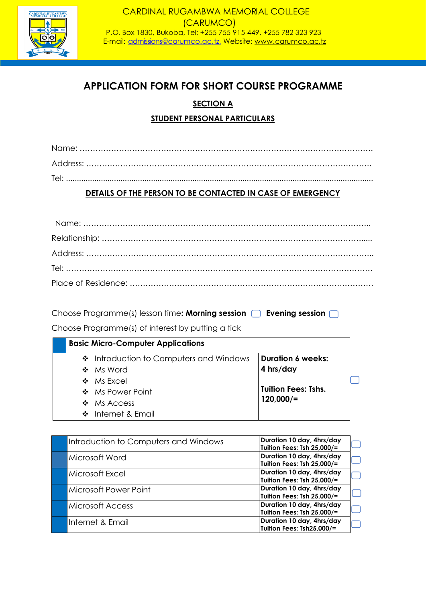

# **APPLICATION FORM FOR SHORT COURSE PROGRAMME**

# **SECTION A**

# **STUDENT PERSONAL PARTICULARS**

| Tel: |  |
|------|--|

# **DETAILS OF THE PERSON TO BE CONTACTED IN CASE OF EMERGENCY**

Choose Programme(s) lesson time: **Morning session Evening session** 

Choose Programme(s) of interest by putting a tick

| <b>Basic Micro-Computer Applications</b> |                            |
|------------------------------------------|----------------------------|
| ❖ Introduction to Computers and Windows  | <b>Duration 6 weeks:</b>   |
| ❖ Ms Word                                | 4 hrs/day                  |
| $\cdot \cdot$ Ms Excel                   |                            |
| ❖ Ms Power Point                         | <b>Tuition Fees: Tshs.</b> |
| $\bullet$ Ms Access                      | $120,000/$ =               |
| ❖ Internet & Email                       |                            |

| Introduction to Computers and Windows | Duration 10 day, 4hrs/day  |
|---------------------------------------|----------------------------|
|                                       | Tuition Fees: Tsh 25,000/= |
| Microsoft Word                        | Duration 10 day, 4hrs/day  |
|                                       | Tuition Fees: Tsh 25,000/= |
| Microsoft Excel                       | Duration 10 day, 4hrs/day  |
|                                       | Tuition Fees: Tsh 25,000/= |
| Microsoft Power Point                 | Duration 10 day, 4hrs/day  |
|                                       | Tuition Fees: Tsh 25,000/= |
| <b>Microsoft Access</b>               | Duration 10 day, 4hrs/day  |
|                                       | Tuition Fees: Tsh 25,000/= |
| Internet & Email                      | Duration 10 day, 4hrs/day  |
|                                       | Tuition Fees: Tsh25,000/=  |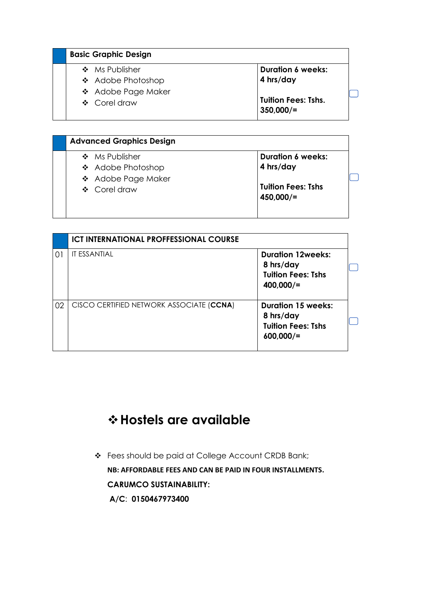| <b>Basic Graphic Design</b> |                                            |
|-----------------------------|--------------------------------------------|
| ❖ Ms Publisher              | <b>Duration 6 weeks:</b>                   |
| ❖ Adobe Photoshop           | 4 hrs/day                                  |
| ❖ Adobe Page Maker          |                                            |
| ❖ Corel draw                | <b>Tuition Fees: Tshs.</b><br>$350,000/$ = |

| <b>Duration 6 weeks:</b>  |
|---------------------------|
| 4 hrs/day                 |
|                           |
| <b>Tuition Fees: Tshs</b> |
| $450,000/$ =              |
|                           |

|    | <b>ICT INTERNATIONAL PROFFESSIONAL COURSE</b> |                                                                                     |
|----|-----------------------------------------------|-------------------------------------------------------------------------------------|
| 01 | IT ESSANTIAL                                  | <b>Duration 12weeks:</b><br>8 hrs/day<br><b>Tuition Fees: Tshs</b><br>400,000/      |
| 02 | CISCO CERTIFIED NETWORK ASSOCIATE (CCNA)      | <b>Duration 15 weeks:</b><br>8 hrs/day<br><b>Tuition Fees: Tshs</b><br>$600,000/$ = |

# ❖**Hostels are available**

❖ Fees should be paid at College Account CRDB Bank; **NB: AFFORDABLE FEES AND CAN BE PAID IN FOUR INSTALLMENTS. CARUMCO SUSTAINABILITY: A/C**: **0150467973400**